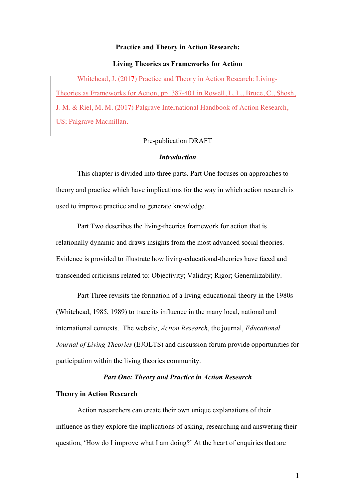#### **Practice and Theory in Action Research:**

#### **Living Theories as Frameworks for Action**

Whitehead, J. (2017) Practice and Theory in Action Research: Living-Theories as Frameworks for Action, pp. 387-401 in Rowell, L. L., Bruce, C., Shosh, J. M. & Riel, M. M. (2017) Palgrave International Handbook of Action Research, US; Palgrave Macmillan.

# Pre-publication DRAFT

#### *Introduction*

This chapter is divided into three parts. Part One focuses on approaches to theory and practice which have implications for the way in which action research is used to improve practice and to generate knowledge.

Part Two describes the living-theories framework for action that is relationally dynamic and draws insights from the most advanced social theories. Evidence is provided to illustrate how living-educational-theories have faced and transcended criticisms related to: Objectivity; Validity; Rigor; Generalizability.

Part Three revisits the formation of a living-educational-theory in the 1980s (Whitehead, 1985, 1989) to trace its influence in the many local, national and international contexts. The website, *Action Research*, the journal, *Educational Journal of Living Theories* (EJOLTS) and discussion forum provide opportunities for participation within the living theories community.

### *Part One: Theory and Practice in Action Research*

### **Theory in Action Research**

Action researchers can create their own unique explanations of their influence as they explore the implications of asking, researching and answering their question, 'How do I improve what I am doing?' At the heart of enquiries that are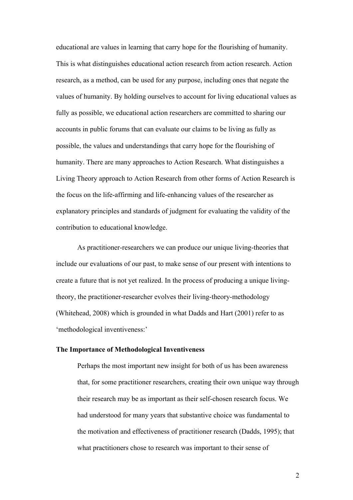educational are values in learning that carry hope for the flourishing of humanity. This is what distinguishes educational action research from action research. Action research, as a method, can be used for any purpose, including ones that negate the values of humanity. By holding ourselves to account for living educational values as fully as possible, we educational action researchers are committed to sharing our accounts in public forums that can evaluate our claims to be living as fully as possible, the values and understandings that carry hope for the flourishing of humanity. There are many approaches to Action Research. What distinguishes a Living Theory approach to Action Research from other forms of Action Research is the focus on the life-affirming and life-enhancing values of the researcher as explanatory principles and standards of judgment for evaluating the validity of the contribution to educational knowledge.

As practitioner-researchers we can produce our unique living-theories that include our evaluations of our past, to make sense of our present with intentions to create a future that is not yet realized. In the process of producing a unique livingtheory, the practitioner-researcher evolves their living-theory-methodology (Whitehead, 2008) which is grounded in what Dadds and Hart (2001) refer to as 'methodological inventiveness:'

#### **The Importance of Methodological Inventiveness**

Perhaps the most important new insight for both of us has been awareness that, for some practitioner researchers, creating their own unique way through their research may be as important as their self-chosen research focus. We had understood for many years that substantive choice was fundamental to the motivation and effectiveness of practitioner research (Dadds, 1995); that what practitioners chose to research was important to their sense of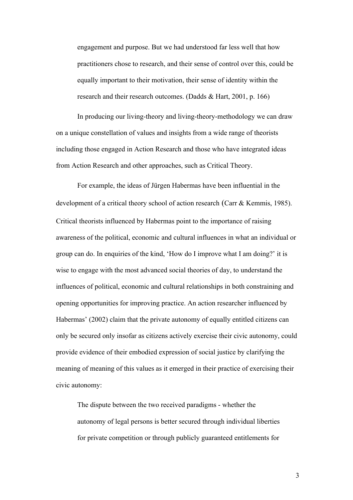engagement and purpose. But we had understood far less well that how practitioners chose to research, and their sense of control over this, could be equally important to their motivation, their sense of identity within the research and their research outcomes. (Dadds & Hart, 2001, p. 166)

In producing our living-theory and living-theory-methodology we can draw on a unique constellation of values and insights from a wide range of theorists including those engaged in Action Research and those who have integrated ideas from Action Research and other approaches, such as Critical Theory.

For example, the ideas of Jürgen Habermas have been influential in the development of a critical theory school of action research (Carr & Kemmis, 1985). Critical theorists influenced by Habermas point to the importance of raising awareness of the political, economic and cultural influences in what an individual or group can do. In enquiries of the kind, 'How do I improve what I am doing?' it is wise to engage with the most advanced social theories of day, to understand the influences of political, economic and cultural relationships in both constraining and opening opportunities for improving practice. An action researcher influenced by Habermas' (2002) claim that the private autonomy of equally entitled citizens can only be secured only insofar as citizens actively exercise their civic autonomy, could provide evidence of their embodied expression of social justice by clarifying the meaning of meaning of this values as it emerged in their practice of exercising their civic autonomy:

The dispute between the two received paradigms - whether the autonomy of legal persons is better secured through individual liberties for private competition or through publicly guaranteed entitlements for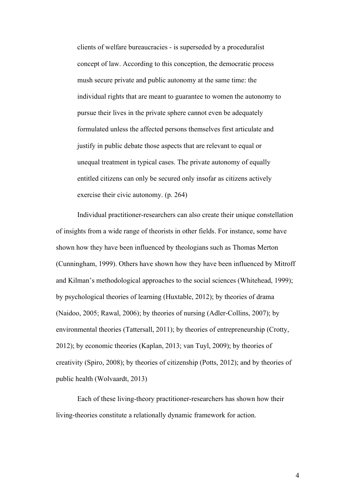clients of welfare bureaucracies - is superseded by a proceduralist concept of law. According to this conception, the democratic process mush secure private and public autonomy at the same time: the individual rights that are meant to guarantee to women the autonomy to pursue their lives in the private sphere cannot even be adequately formulated unless the affected persons themselves first articulate and justify in public debate those aspects that are relevant to equal or unequal treatment in typical cases. The private autonomy of equally entitled citizens can only be secured only insofar as citizens actively exercise their civic autonomy. (p. 264)

Individual practitioner-researchers can also create their unique constellation of insights from a wide range of theorists in other fields. For instance, some have shown how they have been influenced by theologians such as Thomas Merton (Cunningham, 1999). Others have shown how they have been influenced by Mitroff and Kilman's methodological approaches to the social sciences (Whitehead, 1999); by psychological theories of learning (Huxtable, 2012); by theories of drama (Naidoo, 2005; Rawal, 2006); by theories of nursing (Adler-Collins, 2007); by environmental theories (Tattersall, 2011); by theories of entrepreneurship (Crotty, 2012); by economic theories (Kaplan, 2013; van Tuyl, 2009); by theories of creativity (Spiro, 2008); by theories of citizenship (Potts, 2012); and by theories of public health (Wolvaardt, 2013)

Each of these living-theory practitioner-researchers has shown how their living-theories constitute a relationally dynamic framework for action.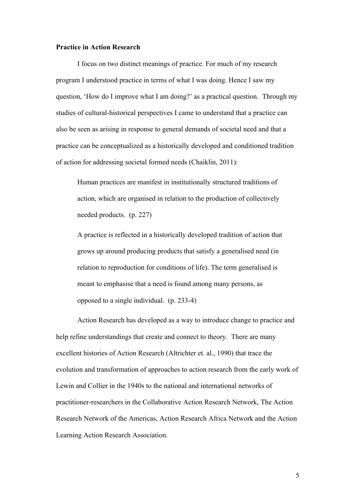## **Practice in Action Research**

I focus on two distinct meanings of practice. For much of my research program I understood practice in terms of what I was doing. Hence I saw my question, 'How do I improve what I am doing?' as a practical question. Through my studies of cultural-historical perspectives I came to understand that a practice can also be seen as arising in response to general demands of societal need and that a practice can be conceptualized as a historically developed and conditioned tradition of action for addressing societal formed needs (Chaiklin, 2011):

Human practices are manifest in institutionally structured traditions of action, which are organised in relation to the production of collectively needed products. (p. 227)

A practice is reflected in a historically developed tradition of action that grows up around producing products that satisfy a generalised need (in relation to reproduction for conditions of life). The term generalised is meant to emphasise that a need is found among many persons, as opposed to a single individual. (p. 233-4)

Action Research has developed as a way to introduce change to practice and help refine understandings that create and connect to theory. There are many excellent histories of Action Research (Altrichter et. al., 1990) that trace the evolution and transformation of approaches to action research from the early work of Lewin and Collier in the 1940s to the national and international networks of practitioner-researchers in the Collaborative Action Research Network, The Action Research Network of the Americas, Action Research Africa Network and the Action Learning Action Research Association.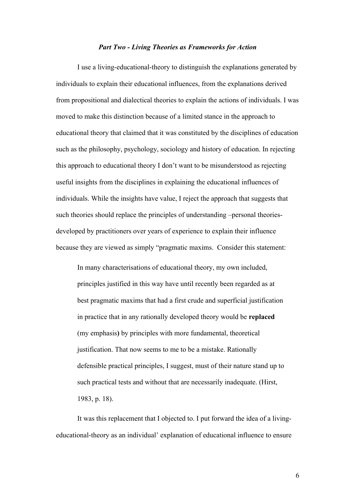#### *Part Two - Living Theories as Frameworks for Action*

I use a living-educational-theory to distinguish the explanations generated by individuals to explain their educational influences, from the explanations derived from propositional and dialectical theories to explain the actions of individuals. I was moved to make this distinction because of a limited stance in the approach to educational theory that claimed that it was constituted by the disciplines of education such as the philosophy, psychology, sociology and history of education. In rejecting this approach to educational theory I don't want to be misunderstood as rejecting useful insights from the disciplines in explaining the educational influences of individuals. While the insights have value, I reject the approach that suggests that such theories should replace the principles of understanding –personal theoriesdeveloped by practitioners over years of experience to explain their influence because they are viewed as simply "pragmatic maxims. Consider this statement:

In many characterisations of educational theory, my own included, principles justified in this way have until recently been regarded as at best pragmatic maxims that had a first crude and superficial justification in practice that in any rationally developed theory would be **replaced**  (my emphasis**)** by principles with more fundamental, theoretical justification. That now seems to me to be a mistake. Rationally defensible practical principles, I suggest, must of their nature stand up to such practical tests and without that are necessarily inadequate. (Hirst, 1983, p. 18).

It was this replacement that I objected to. I put forward the idea of a livingeducational-theory as an individual' explanation of educational influence to ensure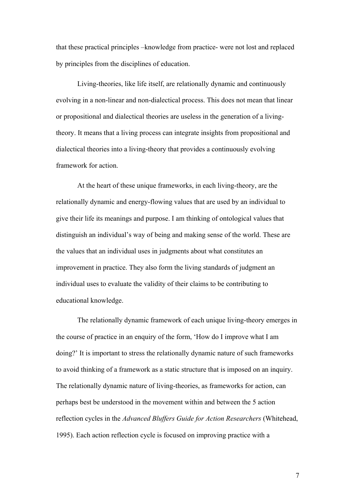that these practical principles –knowledge from practice- were not lost and replaced by principles from the disciplines of education.

Living-theories, like life itself, are relationally dynamic and continuously evolving in a non-linear and non-dialectical process. This does not mean that linear or propositional and dialectical theories are useless in the generation of a livingtheory. It means that a living process can integrate insights from propositional and dialectical theories into a living-theory that provides a continuously evolving framework for action.

At the heart of these unique frameworks, in each living-theory, are the relationally dynamic and energy-flowing values that are used by an individual to give their life its meanings and purpose. I am thinking of ontological values that distinguish an individual's way of being and making sense of the world. These are the values that an individual uses in judgments about what constitutes an improvement in practice. They also form the living standards of judgment an individual uses to evaluate the validity of their claims to be contributing to educational knowledge.

The relationally dynamic framework of each unique living-theory emerges in the course of practice in an enquiry of the form, 'How do I improve what I am doing?' It is important to stress the relationally dynamic nature of such frameworks to avoid thinking of a framework as a static structure that is imposed on an inquiry. The relationally dynamic nature of living-theories, as frameworks for action, can perhaps best be understood in the movement within and between the 5 action reflection cycles in the *Advanced Bluffers Guide for Action Researchers* (Whitehead, 1995). Each action reflection cycle is focused on improving practice with a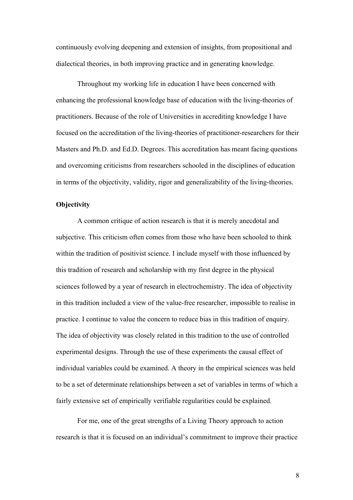continuously evolving deepening and extension of insights, from propositional and dialectical theories, in both improving practice and in generating knowledge.

Throughout my working life in education I have been concerned with enhancing the professional knowledge base of education with the living-theories of practitioners. Because of the role of Universities in accrediting knowledge I have focused on the accreditation of the living-theories of practitioner-researchers for their Masters and Ph.D. and Ed.D. Degrees. This accreditation has meant facing questions and overcoming criticisms from researchers schooled in the disciplines of education in terms of the objectivity, validity, rigor and generalizability of the living-theories.

#### **Objectivity**

A common critique of action research is that it is merely anecdotal and subjective. This criticism often comes from those who have been schooled to think within the tradition of positivist science. I include myself with those influenced by this tradition of research and scholarship with my first degree in the physical sciences followed by a year of research in electrochemistry. The idea of objectivity in this tradition included a view of the value-free researcher, impossible to realise in practice. I continue to value the concern to reduce bias in this tradition of enquiry. The idea of objectivity was closely related in this tradition to the use of controlled experimental designs. Through the use of these experiments the causal effect of individual variables could be examined. A theory in the empirical sciences was held to be a set of determinate relationships between a set of variables in terms of which a fairly extensive set of empirically verifiable regularities could be explained.

For me, one of the great strengths of a Living Theory approach to action research is that it is focused on an individual's commitment to improve their practice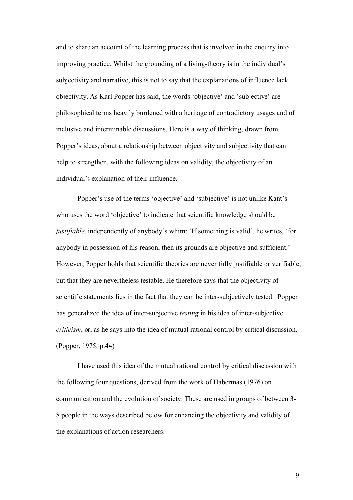and to share an account of the learning process that is involved in the enquiry into improving practice. Whilst the grounding of a living-theory is in the individual's subjectivity and narrative, this is not to say that the explanations of influence lack objectivity. As Karl Popper has said, the words 'objective' and 'subjective' are philosophical terms heavily burdened with a heritage of contradictory usages and of inclusive and interminable discussions. Here is a way of thinking, drawn from Popper's ideas, about a relationship between objectivity and subjectivity that can help to strengthen, with the following ideas on validity, the objectivity of an individual's explanation of their influence.

Popper's use of the terms 'objective' and 'subjective' is not unlike Kant's who uses the word 'objective' to indicate that scientific knowledge should be *justifiable*, independently of anybody's whim: 'If something is valid', he writes, 'for anybody in possession of his reason, then its grounds are objective and sufficient.' However, Popper holds that scientific theories are never fully justifiable or verifiable, but that they are nevertheless testable. He therefore says that the objectivity of scientific statements lies in the fact that they can be inter-subjectively tested. Popper has generalized the idea of inter-subjective *testing* in his idea of inter-subjective *criticism*, or, as he says into the idea of mutual rational control by critical discussion. (Popper, 1975, p.44)

I have used this idea of the mutual rational control by critical discussion with the following four questions, derived from the work of Habermas (1976) on communication and the evolution of society. These are used in groups of between 3- 8 people in the ways described below for enhancing the objectivity and validity of the explanations of action researchers.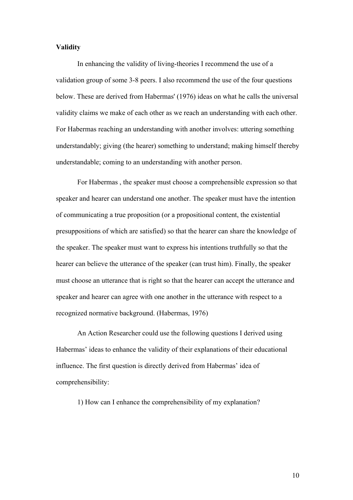#### **Validity**

In enhancing the validity of living-theories I recommend the use of a validation group of some 3-8 peers. I also recommend the use of the four questions below. These are derived from Habermas' (1976) ideas on what he calls the universal validity claims we make of each other as we reach an understanding with each other. For Habermas reaching an understanding with another involves: uttering something understandably; giving (the hearer) something to understand; making himself thereby understandable; coming to an understanding with another person.

For Habermas , the speaker must choose a comprehensible expression so that speaker and hearer can understand one another. The speaker must have the intention of communicating a true proposition (or a propositional content, the existential presuppositions of which are satisfied) so that the hearer can share the knowledge of the speaker. The speaker must want to express his intentions truthfully so that the hearer can believe the utterance of the speaker (can trust him). Finally, the speaker must choose an utterance that is right so that the hearer can accept the utterance and speaker and hearer can agree with one another in the utterance with respect to a recognized normative background. (Habermas, 1976)

An Action Researcher could use the following questions I derived using Habermas' ideas to enhance the validity of their explanations of their educational influence. The first question is directly derived from Habermas' idea of comprehensibility:

1) How can I enhance the comprehensibility of my explanation?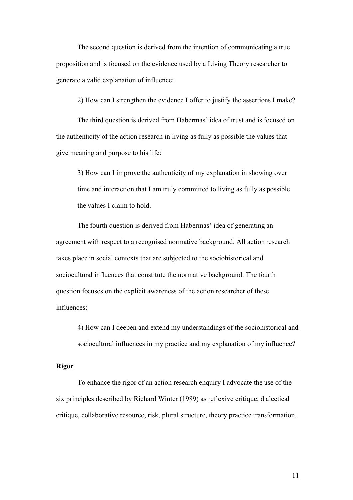The second question is derived from the intention of communicating a true proposition and is focused on the evidence used by a Living Theory researcher to generate a valid explanation of influence:

2) How can I strengthen the evidence I offer to justify the assertions I make?

The third question is derived from Habermas' idea of trust and is focused on the authenticity of the action research in living as fully as possible the values that give meaning and purpose to his life:

3) How can I improve the authenticity of my explanation in showing over time and interaction that I am truly committed to living as fully as possible the values I claim to hold.

The fourth question is derived from Habermas' idea of generating an agreement with respect to a recognised normative background. All action research takes place in social contexts that are subjected to the sociohistorical and sociocultural influences that constitute the normative background. The fourth question focuses on the explicit awareness of the action researcher of these influences:

4) How can I deepen and extend my understandings of the sociohistorical and sociocultural influences in my practice and my explanation of my influence?

### **Rigor**

To enhance the rigor of an action research enquiry I advocate the use of the six principles described by Richard Winter (1989) as reflexive critique, dialectical critique, collaborative resource, risk, plural structure, theory practice transformation.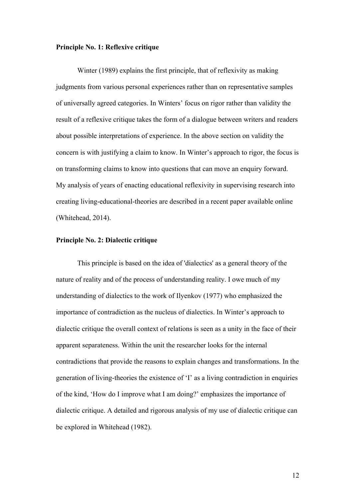#### **Principle No. 1: Reflexive critique**

Winter (1989) explains the first principle, that of reflexivity as making judgments from various personal experiences rather than on representative samples of universally agreed categories. In Winters' focus on rigor rather than validity the result of a reflexive critique takes the form of a dialogue between writers and readers about possible interpretations of experience. In the above section on validity the concern is with justifying a claim to know. In Winter's approach to rigor, the focus is on transforming claims to know into questions that can move an enquiry forward. My analysis of years of enacting educational reflexivity in supervising research into creating living-educational-theories are described in a recent paper available online (Whitehead, 2014).

#### **Principle No. 2: Dialectic critique**

This principle is based on the idea of 'dialectics' as a general theory of the nature of reality and of the process of understanding reality. I owe much of my understanding of dialectics to the work of Ilyenkov (1977) who emphasized the importance of contradiction as the nucleus of dialectics. In Winter's approach to dialectic critique the overall context of relations is seen as a unity in the face of their apparent separateness. Within the unit the researcher looks for the internal contradictions that provide the reasons to explain changes and transformations. In the generation of living-theories the existence of 'I' as a living contradiction in enquiries of the kind, 'How do I improve what I am doing?' emphasizes the importance of dialectic critique. A detailed and rigorous analysis of my use of dialectic critique can be explored in Whitehead (1982).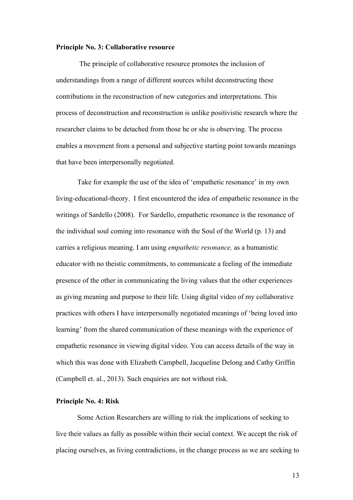#### **Principle No. 3: Collaborative resource**

The principle of collaborative resource promotes the inclusion of understandings from a range of different sources whilst deconstructing these contributions in the reconstruction of new categories and interpretations. This process of deconstruction and reconstruction is unlike positivistic research where the researcher claims to be detached from those he or she is observing. The process enables a movement from a personal and subjective starting point towards meanings that have been interpersonally negotiated.

Take for example the use of the idea of 'empathetic resonance' in my own living-educational-theory. I first encountered the idea of empathetic resonance in the writings of Sardello (2008). For Sardello, empathetic resonance is the resonance of the individual soul coming into resonance with the Soul of the World (p. 13) and carries a religious meaning. I am using *empathetic resonance,* as a humanistic educator with no theistic commitments, to communicate a feeling of the immediate presence of the other in communicating the living values that the other experiences as giving meaning and purpose to their life. Using digital video of my collaborative practices with others I have interpersonally negotiated meanings of 'being loved into learning' from the shared communication of these meanings with the experience of empathetic resonance in viewing digital video. You can access details of the way in which this was done with Elizabeth Campbell, Jacqueline Delong and Cathy Griffin (Campbell et. al., 2013). Such enquiries are not without risk.

## **Principle No. 4: Risk**

Some Action Researchers are willing to risk the implications of seeking to live their values as fully as possible within their social context. We accept the risk of placing ourselves, as living contradictions, in the change process as we are seeking to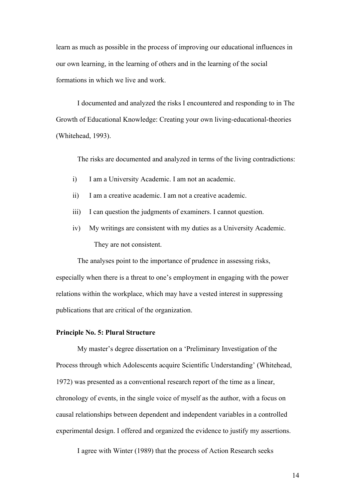learn as much as possible in the process of improving our educational influences in our own learning, in the learning of others and in the learning of the social formations in which we live and work.

I documented and analyzed the risks I encountered and responding to in The Growth of Educational Knowledge: Creating your own living-educational-theories (Whitehead, 1993).

The risks are documented and analyzed in terms of the living contradictions:

- i) I am a University Academic. I am not an academic.
- ii) I am a creative academic. I am not a creative academic.
- iii) I can question the judgments of examiners. I cannot question.
- iv) My writings are consistent with my duties as a University Academic. They are not consistent.

The analyses point to the importance of prudence in assessing risks, especially when there is a threat to one's employment in engaging with the power relations within the workplace, which may have a vested interest in suppressing publications that are critical of the organization.

#### **Principle No. 5: Plural Structure**

My master's degree dissertation on a 'Preliminary Investigation of the Process through which Adolescents acquire Scientific Understanding' (Whitehead, 1972) was presented as a conventional research report of the time as a linear, chronology of events, in the single voice of myself as the author, with a focus on causal relationships between dependent and independent variables in a controlled experimental design. I offered and organized the evidence to justify my assertions.

I agree with Winter (1989) that the process of Action Research seeks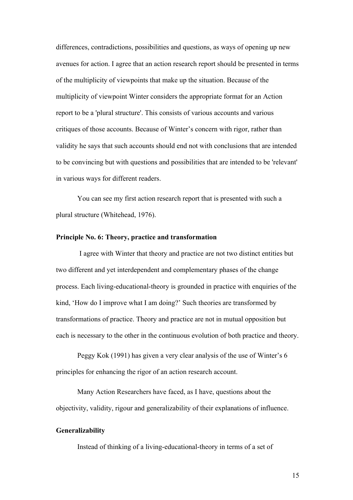differences, contradictions, possibilities and questions, as ways of opening up new avenues for action. I agree that an action research report should be presented in terms of the multiplicity of viewpoints that make up the situation. Because of the multiplicity of viewpoint Winter considers the appropriate format for an Action report to be a 'plural structure'. This consists of various accounts and various critiques of those accounts. Because of Winter's concern with rigor, rather than validity he says that such accounts should end not with conclusions that are intended to be convincing but with questions and possibilities that are intended to be 'relevant' in various ways for different readers.

You can see my first action research report that is presented with such a plural structure (Whitehead, 1976).

### **Principle No. 6: Theory, practice and transformation**

I agree with Winter that theory and practice are not two distinct entities but two different and yet interdependent and complementary phases of the change process. Each living-educational-theory is grounded in practice with enquiries of the kind, 'How do I improve what I am doing?' Such theories are transformed by transformations of practice. Theory and practice are not in mutual opposition but each is necessary to the other in the continuous evolution of both practice and theory.

Peggy Kok (1991) has given a very clear analysis of the use of Winter's 6 principles for enhancing the rigor of an action research account.

Many Action Researchers have faced, as I have, questions about the objectivity, validity, rigour and generalizability of their explanations of influence.

#### **Generalizability**

Instead of thinking of a living-educational-theory in terms of a set of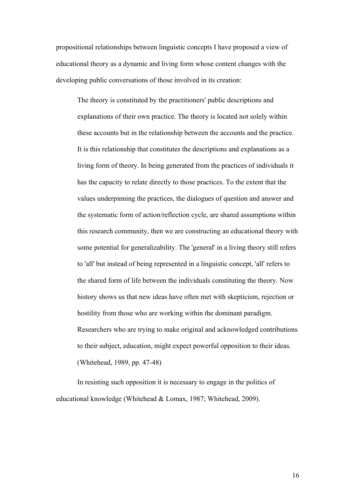propositional relationships between linguistic concepts I have proposed a view of educational theory as a dynamic and living form whose content changes with the developing public conversations of those involved in its creation:

The theory is constituted by the practitioners' public descriptions and explanations of their own practice. The theory is located not solely within these accounts but in the relationship between the accounts and the practice. It is this relationship that constitutes the descriptions and explanations as a living form of theory. In being generated from the practices of individuals it has the capacity to relate directly to those practices. To the extent that the values underpinning the practices, the dialogues of question and answer and the systematic form of action/reflection cycle, are shared assumptions within this research community, then we are constructing an educational theory with some potential for generalizability. The 'general' in a living theory still refers to 'all' but instead of being represented in a linguistic concept, 'all' refers to the shared form of life between the individuals constituting the theory. Now history shows us that new ideas have often met with skepticism, rejection or hostility from those who are working within the dominant paradigm. Researchers who are trying to make original and acknowledged contributions to their subject, education, might expect powerful opposition to their ideas. (Whitehead, 1989, pp. 47-48)

In resisting such opposition it is necessary to engage in the politics of educational knowledge (Whitehead & Lomax, 1987; Whitehead, 2009).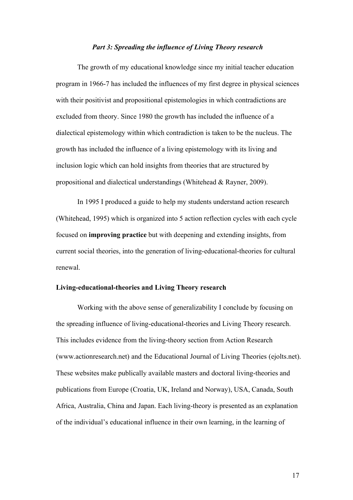#### *Part 3: Spreading the influence of Living Theory research*

The growth of my educational knowledge since my initial teacher education program in 1966-7 has included the influences of my first degree in physical sciences with their positivist and propositional epistemologies in which contradictions are excluded from theory. Since 1980 the growth has included the influence of a dialectical epistemology within which contradiction is taken to be the nucleus. The growth has included the influence of a living epistemology with its living and inclusion logic which can hold insights from theories that are structured by propositional and dialectical understandings (Whitehead & Rayner, 2009).

In 1995 I produced a guide to help my students understand action research (Whitehead, 1995) which is organized into 5 action reflection cycles with each cycle focused on **improving practice** but with deepening and extending insights, from current social theories, into the generation of living-educational-theories for cultural renewal.

#### **Living-educational-theories and Living Theory research**

Working with the above sense of generalizability I conclude by focusing on the spreading influence of living-educational-theories and Living Theory research. This includes evidence from the living-theory section from Action Research (www.actionresearch.net) and the Educational Journal of Living Theories (ejolts.net). These websites make publically available masters and doctoral living-theories and publications from Europe (Croatia, UK, Ireland and Norway), USA, Canada, South Africa, Australia, China and Japan. Each living-theory is presented as an explanation of the individual's educational influence in their own learning, in the learning of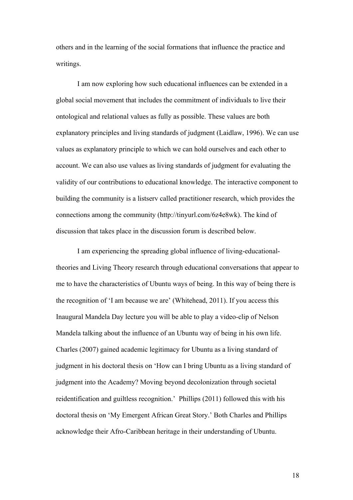others and in the learning of the social formations that influence the practice and writings.

I am now exploring how such educational influences can be extended in a global social movement that includes the commitment of individuals to live their ontological and relational values as fully as possible. These values are both explanatory principles and living standards of judgment (Laidlaw, 1996). We can use values as explanatory principle to which we can hold ourselves and each other to account. We can also use values as living standards of judgment for evaluating the validity of our contributions to educational knowledge. The interactive component to building the community is a listserv called practitioner research, which provides the connections among the community (http://tinyurl.com/6z4e8wk). The kind of discussion that takes place in the discussion forum is described below.

I am experiencing the spreading global influence of living-educationaltheories and Living Theory research through educational conversations that appear to me to have the characteristics of Ubuntu ways of being. In this way of being there is the recognition of 'I am because we are' (Whitehead, 2011). If you access this Inaugural Mandela Day lecture you will be able to play a video-clip of Nelson Mandela talking about the influence of an Ubuntu way of being in his own life. Charles (2007) gained academic legitimacy for Ubuntu as a living standard of judgment in his doctoral thesis on 'How can I bring Ubuntu as a living standard of judgment into the Academy? Moving beyond decolonization through societal reidentification and guiltless recognition.' Phillips (2011) followed this with his doctoral thesis on 'My Emergent African Great Story.' Both Charles and Phillips acknowledge their Afro-Caribbean heritage in their understanding of Ubuntu.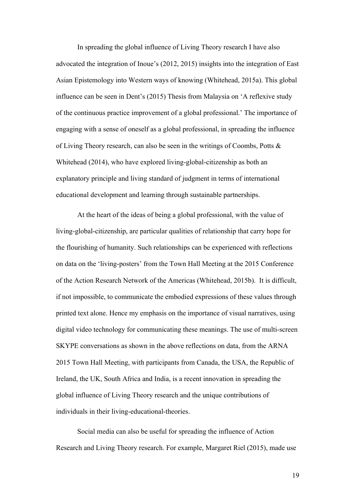In spreading the global influence of Living Theory research I have also advocated the integration of Inoue's (2012, 2015) insights into the integration of East Asian Epistemology into Western ways of knowing (Whitehead, 2015a). This global influence can be seen in Dent's (2015) Thesis from Malaysia on 'A reflexive study of the continuous practice improvement of a global professional.' The importance of engaging with a sense of oneself as a global professional, in spreading the influence of Living Theory research, can also be seen in the writings of Coombs, Potts & Whitehead (2014), who have explored living-global-citizenship as both an explanatory principle and living standard of judgment in terms of international educational development and learning through sustainable partnerships.

At the heart of the ideas of being a global professional, with the value of living-global-citizenship, are particular qualities of relationship that carry hope for the flourishing of humanity. Such relationships can be experienced with reflections on data on the 'living-posters' from the Town Hall Meeting at the 2015 Conference of the Action Research Network of the Americas (Whitehead, 2015b). It is difficult, if not impossible, to communicate the embodied expressions of these values through printed text alone. Hence my emphasis on the importance of visual narratives, using digital video technology for communicating these meanings. The use of multi-screen SKYPE conversations as shown in the above reflections on data, from the ARNA 2015 Town Hall Meeting, with participants from Canada, the USA, the Republic of Ireland, the UK, South Africa and India, is a recent innovation in spreading the global influence of Living Theory research and the unique contributions of individuals in their living-educational-theories.

Social media can also be useful for spreading the influence of Action Research and Living Theory research. For example, Margaret Riel (2015), made use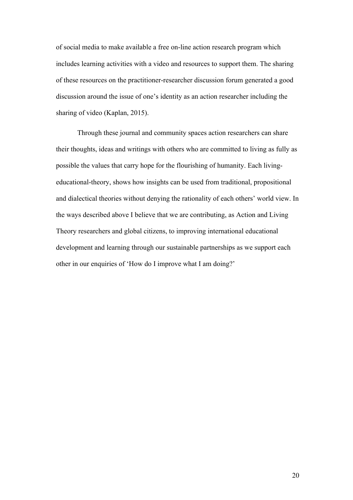of social media to make available a free on-line action research program which includes learning activities with a video and resources to support them. The sharing of these resources on the practitioner-researcher discussion forum generated a good discussion around the issue of one's identity as an action researcher including the sharing of video (Kaplan, 2015).

Through these journal and community spaces action researchers can share their thoughts, ideas and writings with others who are committed to living as fully as possible the values that carry hope for the flourishing of humanity. Each livingeducational-theory, shows how insights can be used from traditional, propositional and dialectical theories without denying the rationality of each others' world view. In the ways described above I believe that we are contributing, as Action and Living Theory researchers and global citizens, to improving international educational development and learning through our sustainable partnerships as we support each other in our enquiries of 'How do I improve what I am doing?'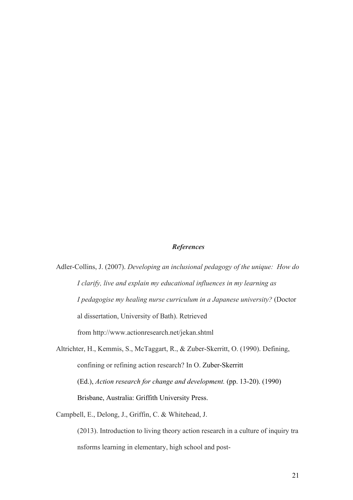### *References*

Adler-Collins, J. (2007). *Developing an inclusional pedagogy of the unique: How do I clarify, live and explain my educational influences in my learning as I pedagogise my healing nurse curriculum in a Japanese university?* (Doctor al dissertation, University of Bath). Retrieved from http://www.actionresearch.net/jekan.shtml

Altrichter, H., Kemmis, S., McTaggart, R., & Zuber-Skerritt, O. (1990). Defining, confining or refining action research? In O. Zuber-Skerritt (Ed.), *Action research for change and development.* (pp. 13-20). (1990) Brisbane, Australia: Griffith University Press.

Campbell, E., Delong, J., Griffin, C. & Whitehead, J.

(2013). Introduction to living theory action research in a culture of inquiry tra nsforms learning in elementary, high school and post-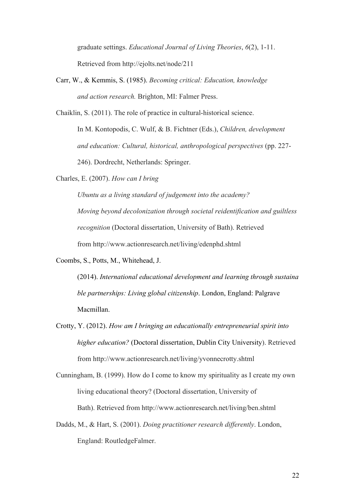graduate settings. *Educational Journal of Living Theories*, *6*(2), 1-11. Retrieved from http://ejolts.net/node/211

Carr, W., & Kemmis, S. (1985). *Becoming critical: Education, knowledge and action research.* Brighton, MI: Falmer Press.

Chaiklin, S. (2011). The role of practice in cultural-historical science.

In M. Kontopodis, C. Wulf, & B. Fichtner (Eds.), *Children, development and education: Cultural, historical, anthropological perspectives* (pp. 227- 246). Dordrecht, Netherlands: Springer.

Charles, E. (2007). *How can I bring* 

*Ubuntu as a living standard of judgement into the academy? Moving beyond decolonization through societal reidentification and guiltless recognition* (Doctoral dissertation, University of Bath). Retrieved from http://www.actionresearch.net/living/edenphd.shtml

Coombs, S., Potts, M., Whitehead, J.

(2014). *International educational development and learning through sustaina ble partnerships: Living global citizenship*. London, England: Palgrave Macmillan.

- Crotty, Y. (2012). *How am I bringing an educationally entrepreneurial spirit into higher education?* (Doctoral dissertation, Dublin City University). Retrieved from http://www.actionresearch.net/living/yvonnecrotty.shtml
- Cunningham, B. (1999). How do I come to know my spirituality as I create my own living educational theory? (Doctoral dissertation, University of Bath). Retrieved from http://www.actionresearch.net/living/ben.shtml
- Dadds, M., & Hart, S. (2001). *Doing practitioner research differently*. London, England: RoutledgeFalmer.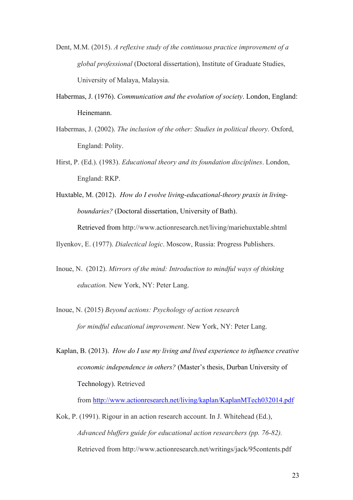- Dent, M.M. (2015). *A reflexive study of the continuous practice improvement of a global professional* (Doctoral dissertation), Institute of Graduate Studies, University of Malaya, Malaysia.
- Habermas, J. (1976). *Communication and the evolution of society*. London, England: Heinemann.
- Habermas, J. (2002). *The inclusion of the other: Studies in political theory*. Oxford, England: Polity.
- Hirst, P. (Ed.). (1983). *Educational theory and its foundation disciplines*. London, England: RKP.
- Huxtable, M. (2012). *How do I evolve living-educational-theory praxis in livingboundaries?* (Doctoral dissertation, University of Bath).

Retrieved from http://www.actionresearch.net/living/mariehuxtable.shtml

Ilyenkov, E. (1977). *Dialectical logic*. Moscow, Russia: Progress Publishers.

- Inoue, N. (2012). *Mirrors of the mind: Introduction to mindful ways of thinking education.* New York, NY: Peter Lang.
- Inoue, N. (2015) *Beyond actions: Psychology of action research for mindful educational improvement*. New York, NY: Peter Lang.
- Kaplan, B. (2013). *How do I use my living and lived experience to influence creative economic independence in others?* (Master's thesis, Durban University of Technology). Retrieved

from http://www.actionresearch.net/living/kaplan/KaplanMTech032014.pdf

Kok, P. (1991). Rigour in an action research account. In J. Whitehead (Ed.), *Advanced bluffers guide for educational action researchers (pp. 76-82).*  Retrieved from http://www.actionresearch.net/writings/jack/95contents.pdf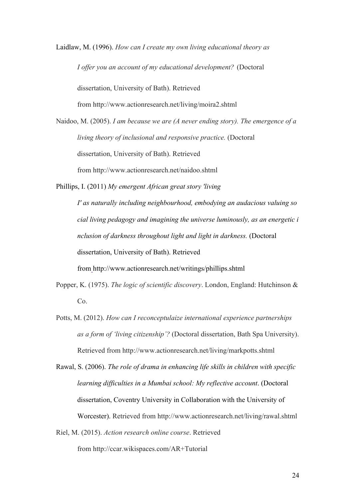Laidlaw, M. (1996). *How can I create my own living educational theory as I offer you an account of my educational development?* (Doctoral dissertation, University of Bath). Retrieved from http://www.actionresearch.net/living/moira2.shtml Naidoo, M. (2005). *I am because we are (A never ending story). The emergence of a* 

*living theory of inclusional and responsive practice.* (Doctoral dissertation, University of Bath). Retrieved from http://www.actionresearch.net/naidoo.shtml

Phillips, I. (2011) *My emergent African great story 'living I' as naturally including neighbourhood, embodying an audacious valuing so cial living pedagogy and imagining the universe luminously, as an energetic i nclusion of darkness throughout light and light in darkness.* (Doctoral dissertation, University of Bath). Retrieved from http://www.actionresearch.net/writings/phillips.shtml

- Popper, K. (1975). *The logic of scientific discovery*. London, England: Hutchinson &  $Co<sub>1</sub>$
- Potts, M. (2012). *How can I reconceptulaize international experience partnerships as a form of 'living citizenship'?* (Doctoral dissertation, Bath Spa University). Retrieved from http://www.actionresearch.net/living/markpotts.shtml

Rawal, S. (2006). *The role of drama in enhancing life skills in children with specific learning difficulties in a Mumbai school: My reflective account*. (Doctoral dissertation, Coventry University in Collaboration with the University of Worcester). Retrieved from http://www.actionresearch.net/living/rawal.shtml

Riel, M. (2015). *Action research online course*. Retrieved from http://ccar.wikispaces.com/AR+Tutorial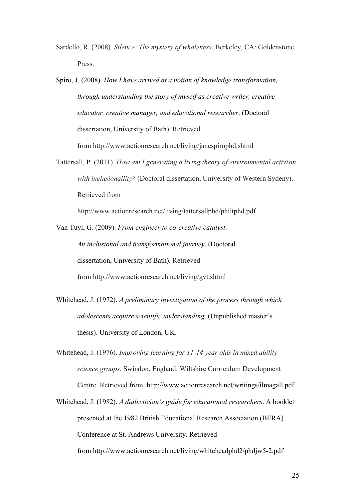- Sardello, R. (2008). *Silence: The mystery of wholeness*. Berkeley, CA: Goldenstone Press.
- Spiro, J. (2008). *How I have arrived at a notion of knowledge transformation, through understanding the story of myself as creative writer, creative educator, creative manager, and educational researcher*. (Doctoral dissertation, University of Bath). Retrieved from http://www.actionresearch.net/living/janespirophd.shtml
- Tattersall, P. (2011). *How am I generating a living theory of environmental activism with inclusionaility?* (Doctoral dissertation, University of Western Sydeny). Retrieved from

http://www.actionresearch.net/living/tattersallphd/philtphd.pdf

- Van Tuyl, G. (2009). *From engineer to co-creative catalyst: An inclusional and transformational journey*. (Doctoral dissertation, University of Bath). Retrieved from http://www.actionresearch.net/living/gvt.shtml
- Whitehead, J. (1972). *A preliminary investigation of the process through which adolescents acquire scientific understanding*. (Unpublished master's thesis). University of London, UK.

Whitehead, J. (1976). *Improving learning for 11-14 year olds in mixed ability science groups.* Swindon, England: Wiltshire Curriculum Development Centre. Retrieved from http://www.actionresearch.net/writings/ilmagall.pdf

Whitehead, J. (1982). *A dialectician's guide for educational researchers*. A booklet presented at the 1982 British Educational Research Association (BERA) Conference at St. Andrews University. Retrieved from http://www.actionresearch.net/living/whiteheadphd2/phdjw5-2.pdf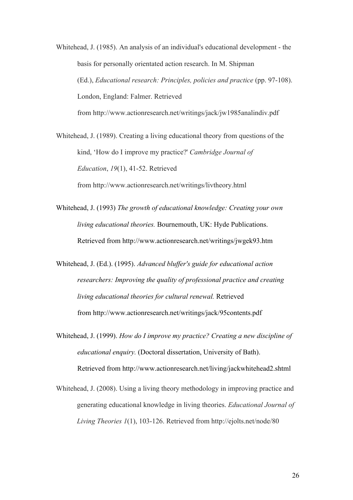Whitehead, J. (1985). An analysis of an individual's educational development - the basis for personally orientated action research. In M. Shipman (Ed.), *Educational research: Principles, policies and practice* (pp. 97-108). London, England: Falmer. Retrieved from http://www.actionresearch.net/writings/jack/jw1985analindiv.pdf

Whitehead, J. (1989). Creating a living educational theory from questions of the kind, 'How do I improve my practice?' *Cambridge Journal of Education*, *19*(1), 41-52. Retrieved from http://www.actionresearch.net/writings/livtheory.html

- Whitehead, J. (1993) *The growth of educational knowledge: Creating your own living educational theories.* Bournemouth, UK: Hyde Publications. Retrieved from http://www.actionresearch.net/writings/jwgek93.htm
- Whitehead, J. (Ed.). (1995). *Advanced bluffer's guide for educational action researchers: Improving the quality of professional practice and creating living educational theories for cultural renewal.* Retrieved from http://www.actionresearch.net/writings/jack/95contents.pdf
- Whitehead, J. (1999). *How do I improve my practice? Creating a new discipline of educational enquiry.* (Doctoral dissertation, University of Bath). Retrieved from http://www.actionresearch.net/living/jackwhitehead2.shtml
- Whitehead, J. (2008). Using a living theory methodology in improving practice and generating educational knowledge in living theories. *Educational Journal of Living Theories 1*(1), 103-126. Retrieved from http://ejolts.net/node/80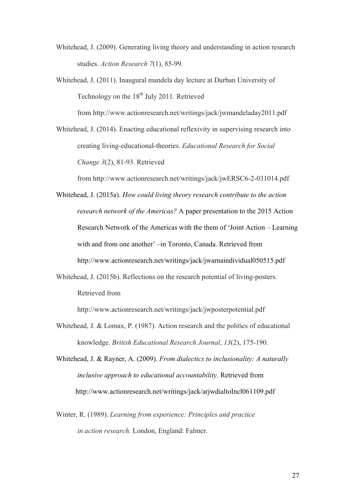- Whitehead, J. (2009). Generating living theory and understanding in action research studies. *Action Research 7*(1), 85-99.
- Whitehead, J. (2011). Inaugural mandela day lecture at Durban University of Technology on the  $18<sup>th</sup>$  July 2011. Retrieved from http://www.actionresearch.net/writings/jack/jwmandeladay2011.pdf

Whitehead, J. (2014). Enacting educational reflexivity in supervising research into creating living-educational-theories. *Educational Research for Social Change 3*(2), 81-93. Retrieved

from http://www.actionresearch.net/writings/jack/jwERSC6-2-031014.pdf

Whitehead, J. (2015a). *How could living theory research contribute to the action research network of the Americas?* A paper presentation to the 2015 Action Research Network of the Americas with the them of 'Joint Action – Learning with and from one another' –in Toronto, Canada. Retrieved from http://www.actionresearch.net/writings/jack/jwarnaindividual050515.pdf

Whitehead, J. (2015b). Reflections on the research potential of living-posters. Retrieved from

http://www.actionresearch.net/writings/jack/jwposterpotential.pdf

- Whitehead, J. & Lomax, P. (1987). Action research and the politics of educational knowledge. *British Educational Research Journal*, *13*(2), 175-190.
- Whitehead, J. & Rayner, A. (2009). *From dialectics to inclusionality: A naturally inclusive approach to educational accountability*. Retrieved from http://www.actionresearch.net/writings/jack/arjwdialtoIncl061109.pdf
- Winter, R. (1989). *Learning from experience: Principles and practice in action research.* London, England: Falmer.